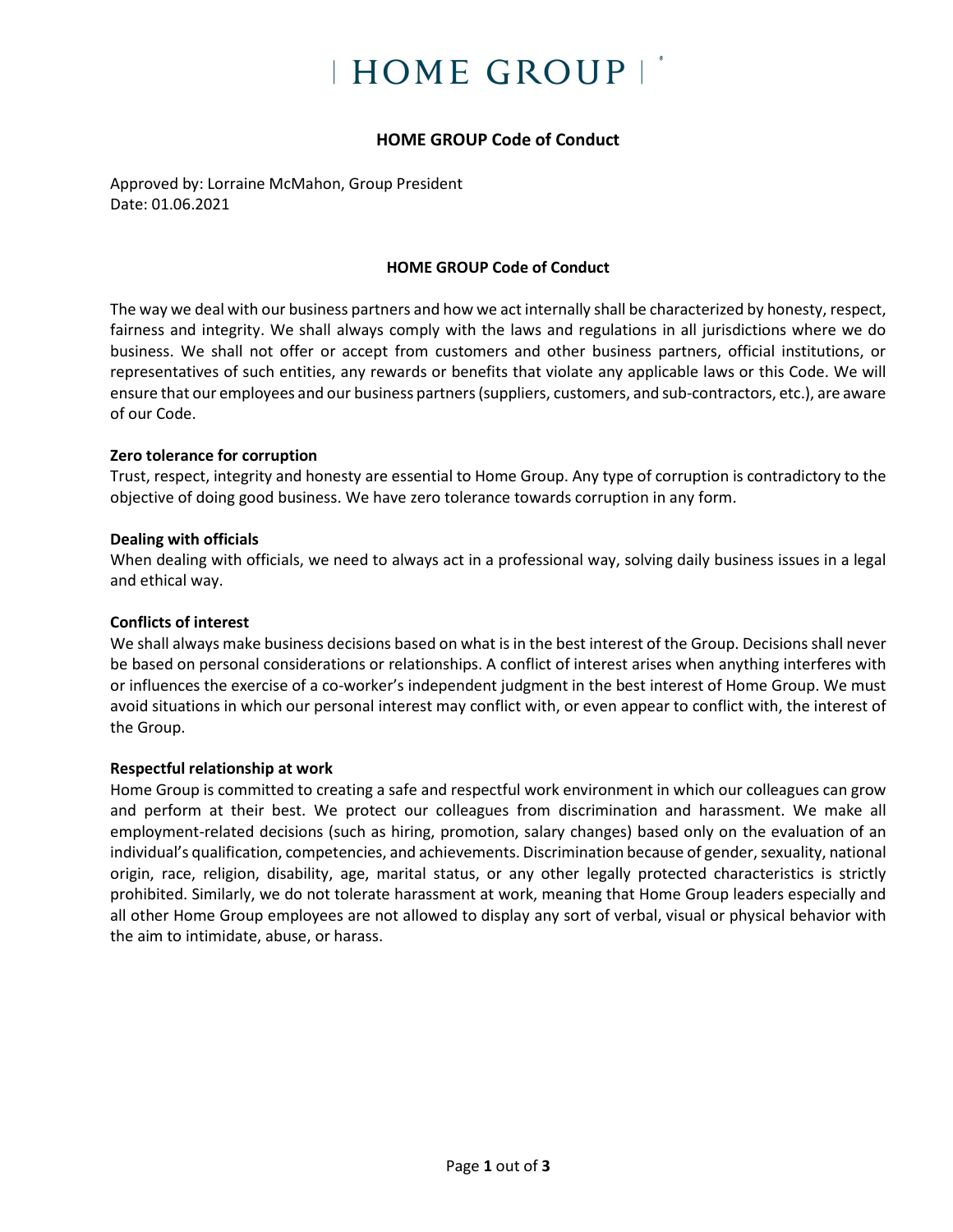# **HOME GROUP**

# **HOME GROUP Code of Conduct**

Approved by: Lorraine McMahon, Group President Date: 01.06.2021

## **HOME GROUP Code of Conduct**

The way we deal with our business partners and how we act internally shall be characterized by honesty, respect, fairness and integrity. We shall always comply with the laws and regulations in all jurisdictions where we do business. We shall not offer or accept from customers and other business partners, official institutions, or representatives of such entities, any rewards or benefits that violate any applicable laws or this Code. We will ensure that our employees and our business partners (suppliers, customers, and sub-contractors, etc.), are aware of our Code.

## **Zero tolerance for corruption**

Trust, respect, integrity and honesty are essential to Home Group. Any type of corruption is contradictory to the objective of doing good business. We have zero tolerance towards corruption in any form.

#### **Dealing with officials**

When dealing with officials, we need to always act in a professional way, solving daily business issues in a legal and ethical way.

#### **Conflicts of interest**

We shall always make business decisions based on what is in the best interest of the Group. Decisions shall never be based on personal considerations or relationships. A conflict of interest arises when anything interferes with or influences the exercise of a co-worker's independent judgment in the best interest of Home Group. We must avoid situations in which our personal interest may conflict with, or even appear to conflict with, the interest of the Group.

## **Respectful relationship at work**

Home Group is committed to creating a safe and respectful work environment in which our colleagues can grow and perform at their best. We protect our colleagues from discrimination and harassment. We make all employment-related decisions (such as hiring, promotion, salary changes) based only on the evaluation of an individual's qualification, competencies, and achievements. Discrimination because of gender, sexuality, national origin, race, religion, disability, age, marital status, or any other legally protected characteristics is strictly prohibited. Similarly, we do not tolerate harassment at work, meaning that Home Group leaders especially and all other Home Group employees are not allowed to display any sort of verbal, visual or physical behavior with the aim to intimidate, abuse, or harass.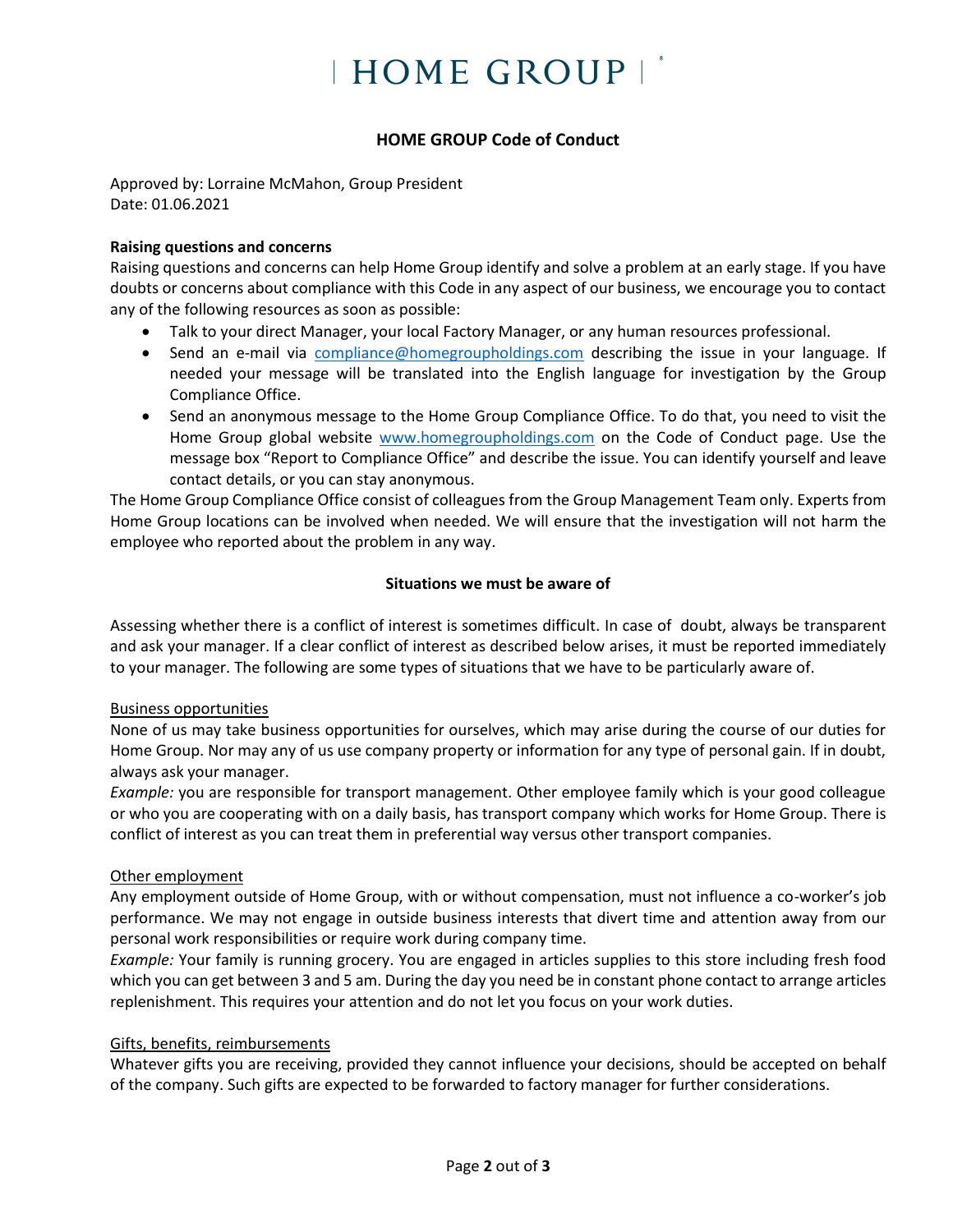# **HOME GROUP**

# **HOME GROUP Code of Conduct**

Approved by: Lorraine McMahon, Group President Date: 01.06.2021

#### **Raising questions and concerns**

Raising questions and concerns can help Home Group identify and solve a problem at an early stage. If you have doubts or concerns about compliance with this Code in any aspect of our business, we encourage you to contact any of the following resources as soon as possible:

- Talk to your direct Manager, your local Factory Manager, or any human resources professional.
- Send an e-mail via [compliance@homegroupholdings.com](mailto:compliance@homegroupholdings.com) describing the issue in your language. If needed your message will be translated into the English language for investigation by the Group Compliance Office.
- Send an anonymous message to the Home Group Compliance Office. To do that, you need to visit the Home Group global website [www.homegroupholdings.com](http://www.homegroupholdings.com/) on the Code of Conduct page. Use the message box "Report to Compliance Office" and describe the issue. You can identify yourself and leave contact details, or you can stay anonymous.

The Home Group Compliance Office consist of colleagues from the Group Management Team only. Experts from Home Group locations can be involved when needed. We will ensure that the investigation will not harm the employee who reported about the problem in any way.

#### **Situations we must be aware of**

Assessing whether there is a conflict of interest is sometimes difficult. In case of doubt, always be transparent and ask your manager. If a clear conflict of interest as described below arises, it must be reported immediately to your manager. The following are some types of situations that we have to be particularly aware of.

## Business opportunities

None of us may take business opportunities for ourselves, which may arise during the course of our duties for Home Group. Nor may any of us use company property or information for any type of personal gain. If in doubt, always ask your manager.

*Example:* you are responsible for transport management. Other employee family which is your good colleague or who you are cooperating with on a daily basis, has transport company which works for Home Group. There is conflict of interest as you can treat them in preferential way versus other transport companies.

## Other employment

Any employment outside of Home Group, with or without compensation, must not influence a co-worker's job performance. We may not engage in outside business interests that divert time and attention away from our personal work responsibilities or require work during company time.

*Example:* Your family is running grocery. You are engaged in articles supplies to this store including fresh food which you can get between 3 and 5 am. During the day you need be in constant phone contact to arrange articles replenishment. This requires your attention and do not let you focus on your work duties.

## Gifts, benefits, reimbursements

Whatever gifts you are receiving, provided they cannot influence your decisions, should be accepted on behalf of the company. Such gifts are expected to be forwarded to factory manager for further considerations.